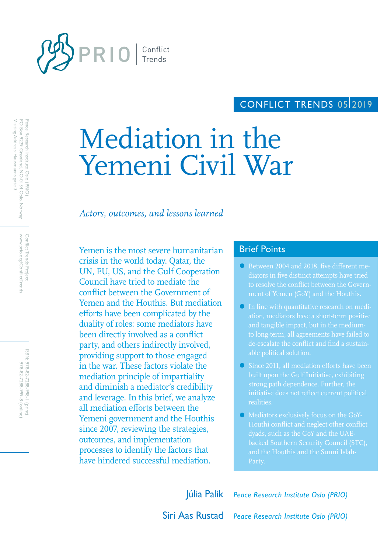

# CONFLICT TRENDS 0512019

# Mediation in the Yemeni Civil War

# *Actors, outcomes, and lessons learned*

Yemen is the most severe humanitarian Brief Points crisis in the world today. Qatar, the UN, EU, US, and the Gulf Cooperation Council have tried to mediate the conflict between the Government of Yemen and the Houthis. But mediation efforts have been complicated by the duality of roles: some mediators have been directly involved as a conflict party, and others indirectly involved, providing support to those engaged in the war. These factors violate the mediation principle of impartiality and diminish a mediator's credibility and leverage. In this brief, we analyze all mediation efforts between the Yemeni government and the Houthis since 2007, reviewing the strategies, outcomes, and implementation processes to identify the factors that have hindered successful mediation.

- Between 2004 and 2018, five different me-
- In line with quantitative research on medito long-term, all agreements have failed to de-escalate the conflict and find a sustain-
- Since 2011, all mediation efforts have been realities.
- Mediators exclusively focus on the GoY-Houthi conflict and neglect other conflict and the Houthis and the Sunni Islah-

Júlia Palik *Peace Research Institute Oslo (PRIO)*

Siri Aas Rustad *Peace Research Institute Oslo (PRIO)*

www.prio.org/ConflictTrends Conflict Trends Project www.prio.org/ConflictTrends Conflict Trends Project

ISBN: 978-82-7288-998-I (print) 978-82-7288-999-8 (online 978-82-7288-999-8 (online) 978-82-7288-998-1 (print)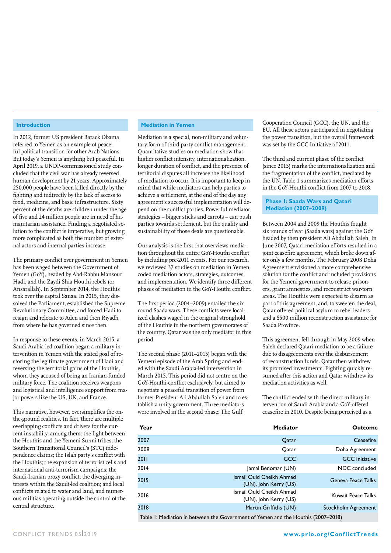#### **Introduction**

In 2012, former US president Barack Obama referred to Yemen as an example of peaceful political transition for other Arab Nations. But today's Yemen is anything but peaceful. In April 2019, a UNDP-commissioned study concluded that the civil war has already reversed human development by 21 years. Approximately 250,000 people have been killed directly by the fighting and indirectly by the lack of access to food, medicine, and basic infrastructure. Sixty percent of the deaths are children under the age of five and 24 million people are in need of humanitarian assistance. Finding a negotiated solution to the conflict is imperative, but growing more complicated as both the number of external actors and internal parties increase.

The primary conflict over government in Yemen has been waged between the Government of Yemen (GoY), headed by Abd-Rabbu Mansour Hadi, and the Zaydi Shia Houthi rebels (or Ansarallah). In September 2014, the Houthis took over the capital Sanaa. In 2015, they dissolved the Parliament, established the Supreme Revolutionary Committee, and forced Hadi to resign and relocate to Aden and then Riyadh from where he has governed since then.

In response to these events, in March 2015, a Saudi Arabia-led coalition began a military intervention in Yemen with the stated goal of restoring the legitimate government of Hadi and reversing the territorial gains of the Houthis, whom they accused of being an Iranian-funded military force. The coalition receives weapons and logistical and intelligence support from major powers like the US, UK, and France.

This narrative, however, oversimplifies the onthe-ground realities. In fact, there are multiple overlapping conflicts and drivers for the current instability, among them: the fight between the Houthis and the Yemeni Sunni tribes; the Southern Transitional Council's (STC) independence claims; the Islah party's conflict with the Houthis; the expansion of terrorist cells and international anti-terrorism campaigns; the Saudi-Iranian proxy conflict; the diverging interests within the Saudi-led coalition; and local conflicts related to water and land, and numerous militias operating outside the control of the central structure.

#### **Mediation in Yemen**

Mediation is a special, non-military and voluntary form of third party conflict management. Quantitative studies on mediation show that higher conflict intensity, internationalization, longer duration of conflict, and the presence of territorial disputes all increase the likelihood of mediation to occur. It is important to keep in mind that while mediators can help parties to achieve a settlement, at the end of the day any agreement's successful implementation will depend on the conflict parties. Powerful mediator strategies – bigger sticks and carrots – can push parties towards settlement, but the quality and sustainability of those deals are questionable.

Our analysis is the first that overviews mediation throughout the entire GoY-Houthi conflict by including pre-2011 events. For our research, we reviewed 37 studies on mediation in Yemen, coded mediation actors, strategies, outcomes, and implementation. We identify three different phases of mediation in the GoY-Houthi conflict.

The first period (2004–2009) entailed the six round Saada wars. These conflicts were localized clashes waged in the original stronghold of the Houthis in the northern governorates of the country. Qatar was the only mediator in this period.

The second phase (2011–2015) began with the Yemeni episode of the Arab Spring and ended with the Saudi Arabia-led intervention in March 2015. This period did not centre on the GoY-Houthi-conflict exclusively, but aimed to negotiate a peaceful transition of power from former President Ali Abdullah Saleh and to establish a unity government. Three mediators were involved in the second phase: The Gulf

Cooperation Council (GCC), the UN, and the EU. All these actors participated in negotiating the power transition, but the overall framework was set by the GCC Initiative of 2011.

The third and current phase of the conflict (since 2015) marks the internationalization and the fragmentation of the conflict, mediated by the UN. Table 1 summarizes mediation efforts in the GoY-Houthi conflict from 2007 to 2018.

#### **Phase 1: Saada Wars and Qatari Mediation (2007–2009)**

Between 2004 and 2009 the Houthis fought six rounds of war (Saada wars) against the GoY headed by then president Ali Abdullah Saleh. In June 2007, Qatari mediation efforts resulted in a joint ceasefire agreement, which broke down after only a few months. The February 2008 Doha Agreement envisioned a more comprehensive solution for the conflict and included provisions for the Yemeni government to release prisoners, grant amnesties, and reconstruct war-torn areas. The Houthis were expected to disarm as part of this agreement, and, to sweeten the deal, Qatar offered political asylum to rebel leaders and a \$500 million reconstruction assistance for Saada Province.

This agreement fell through in May 2009 when Saleh declared Qatari mediation to be a failure due to disagreements over the disbursement of reconstruction funds. Qatar then withdrew its promised investments. Fighting quickly resumed after this action and Qatar withdrew its mediation activities as well.

The conflict ended with the direct military intervention of Saudi Arabia and a GoY-offered ceasefire in 2010. Despite being perceived as a

| Year                                                                              | <b>Mediator</b>                                   | Outcome                   |
|-----------------------------------------------------------------------------------|---------------------------------------------------|---------------------------|
| 2007                                                                              | Qatar                                             | <b>Ceasefire</b>          |
| 2008                                                                              | Qatar                                             | Doha Agreement            |
| 2011                                                                              | GCC                                               | <b>GCC</b> Initiative     |
| 2014                                                                              | Jamal Benomar (UN)                                | NDC concluded             |
| 2015                                                                              | Ismail Ould Cheikh Ahmad<br>(UN), John Kerry (US) | <b>Geneva Peace Talks</b> |
| 2016                                                                              | Ismail Ould Cheikh Ahmad<br>(UN), John Kerry (US) | Kuwait Peace Talks        |
| 2018                                                                              | Martin Griffiths (UN)                             | Stockholm Agreement       |
| Table I: Mediation in between the Government of Yemen and the Houthis (2007–2018) |                                                   |                           |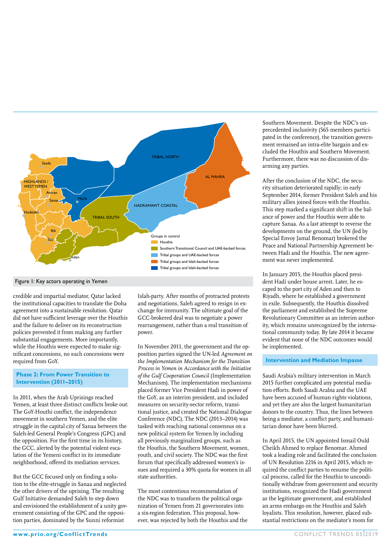

#### Figure 1: Key actors operating in Yemen

credible and impartial mediator, Qatar lacked the institutional capacities to translate the Doha agreement into a sustainable resolution. Qatar did not have sufficient leverage over the Houthis and the failure to deliver on its reconstruction policies prevented it from making any further substantial engagements. More importantly, while the Houthis were expected to make significant concessions, no such concessions were required from GoY.

#### **Phase 2: From Power Transition to Intervention (2011–2015)**

In 2011, when the Arab Uprisings reached Yemen, at least three distinct conflicts broke out: The GoY-Houthi conflict, the independence movement in southern Yemen, and the elite struggle in the capital city of Sanaa between the Saleh-led General People's Congress (GPC) and the opposition. For the first time in its history, the GCC, alerted by the potential violent escalation of the Yemeni conflict in its immediate neighborhood, offered its mediation services.

But the GCC focused only on finding a solution to the elite-struggle in Sanaa and neglected the other drivers of the uprising. The resulting Gulf Initiative demanded Saleh to step down and envisioned the establishment of a unity government consisting of the GPC and the opposition parties, dominated by the Sunni reformist

Islah-party. After months of protracted protests and negotiations, Saleh agreed to resign in exchange for immunity. The ultimate goal of the GCC-brokered deal was to negotiate a power rearrangement, rather than a real transition of power.

In November 2011, the government and the opposition parties signed the UN-led *Agreement on the Implementation Mechanism for the Transition Process in Yemen in Accordance with the Initiative of the Gulf Cooperation Council* (Implementation Mechanism). The implementation mechanisms placed former Vice President Hadi in power of the GoY, as an interim president, and included measures on security-sector reform, transitional justice, and created the National Dialogue Conference (NDC). The NDC (2013–2014) was tasked with reaching national consensus on a new political system for Yemen by including all previously marginalized groups, such as the Houthis, the Southern Movement, women, youth, and civil society. The NDC was the first forum that specifically addressed women's issues and required a 30% quota for women in all state authorities.

The most contentious recommendation of the NDC was to transform the political organization of Yemen from 21 governorates into a six-region federation. This proposal, however, was rejected by both the Houthis and the Southern Movement. Despite the NDC's unprecedented inclusivity (565 members participated in the conference), the transition government remained an intra-elite bargain and excluded the Houthis and Southern Movement. Furthermore, there was no discussion of disarming any parties.

After the conclusion of the NDC, the security situation deteriorated rapidly; in early September 2014, former President Saleh and his military allies joined forces with the Houthis. This step marked a significant shift in the balance of power and the Houthis were able to capture Sanaa. As a last attempt to reverse the developments on the ground, the UN (led by Special Envoy Jamal Benomar) brokered the Peace and National Partnership Agreement between Hadi and the Houthis. The new agreement was never implemented.

In January 2015, the Houthis placed president Hadi under house arrest. Later, he escaped to the port city of Aden and then to Riyadh, where he established a government in exile. Subsequently, the Houthis dissolved the parliament and established the Supreme Revolutionary Committee as an interim authority, which remains unrecognized by the international community today. By late 2014 it became evident that none of the NDC outcomes would be implemented.

#### **Intervention and Mediation Impasse**

Saudi Arabia's military intervention in March 2015 further complicated any potential mediation efforts. Both Saudi Arabia and the UAE have been accused of human rights violations, and yet they are also the largest humanitarian donors to the country. Thus, the lines between being a mediator, a conflict party, and humanitarian donor have been blurred.

In April 2015, the UN appointed Ismail Ould Cheikh Ahmed to replace Benomar. Ahmed took a leading role and facilitated the conclusion of UN Resolution 2216 in April 2015, which required the conflict parties to resume the political process, called for the Houthis to unconditionally withdraw from government and security institutions, recognized the Hadi government as the legitimate government, and established an arms embargo on the Houthis and Saleh loyalists. This resolution, however, placed substantial restrictions on the mediator's room for